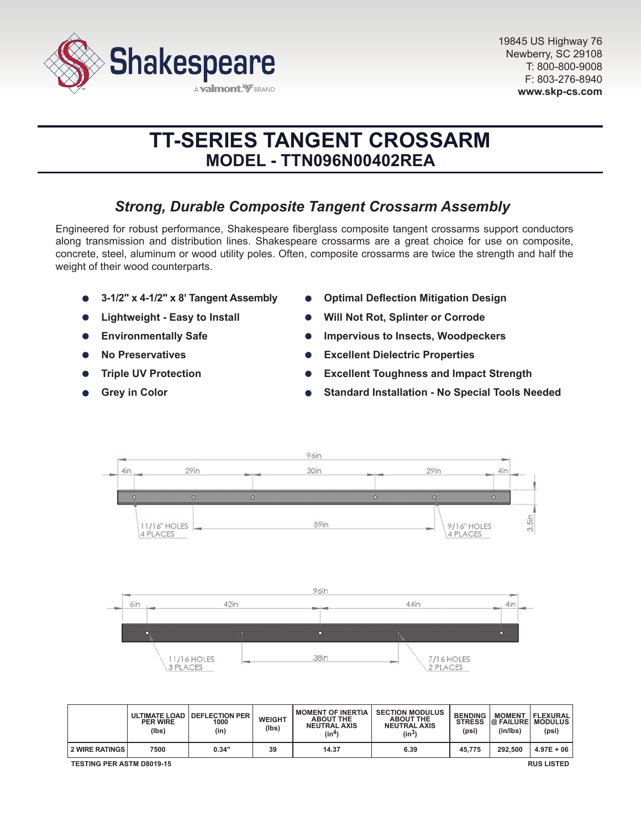

# **TT-SERIES TANGENT CROSSARM MODEL - TTN096N00402REA**

## *Strong, Durable Composite Tangent Crossarm Assembly*

Engineered for robust performance, Shakespeare fiberglass composite tangent crossarms support conductors along transmission and distribution lines. Shakespeare crossarms are a great choice for use on composite, concrete, steel, aluminum or wood utility poles. Often, composite crossarms are twice the strength and half the weight of their wood counterparts.

- **3-1/2" x 4-1/2" x 8' Tangent Assembly**
- **Lightweight Easy to Install**
- **Environmentally Safe**  $\bullet$
- **No Preservatives**
- **Triple UV Protection**
- **Grey in Color**
- **Optimal Deflection Mitigation Design**
- **Will Not Rot, Splinter or Corrode**
- **Impervious to Insects, Woodpeckers**
- **Excellent Dielectric Properties**  $\bullet$
- **Excellent Toughness and Impact Strength**
- **Standard Installation No Special Tools Needed**



|                                                       | <b>PER WIRE</b><br>(lbs) | ULTIMATE LOAD   DEFLECTION PER<br>1000<br>(in) | <b>WEIGHT</b><br>(lbs) | <b>MOMENT OF INERTIA</b><br><b>ABOUT THE</b><br><b>NEUTRAL AXIS</b><br>(in4) | <b>SECTION MODULUS</b><br><b>ABOUT THE</b><br><b>NEUTRAL AXIS</b><br>$(in^3)$ | <b>BENDING</b><br><b>STRESS</b><br>(psi) | <b>MOMENT</b><br><b>@ FAILURE MODULUS</b><br>(in/lbs) | <b>FLEXURAL</b><br>(psi) |
|-------------------------------------------------------|--------------------------|------------------------------------------------|------------------------|------------------------------------------------------------------------------|-------------------------------------------------------------------------------|------------------------------------------|-------------------------------------------------------|--------------------------|
| <b>2 WIRE RATINGS</b>                                 | 7500                     | 0.34"                                          | 39                     | 14.37                                                                        | 6.39                                                                          | 45.775                                   | 292.500                                               | $4.97E + 06$             |
| <b>RUS LISTED</b><br><b>TESTING PER ASTM D8019-15</b> |                          |                                                |                        |                                                                              |                                                                               |                                          |                                                       |                          |